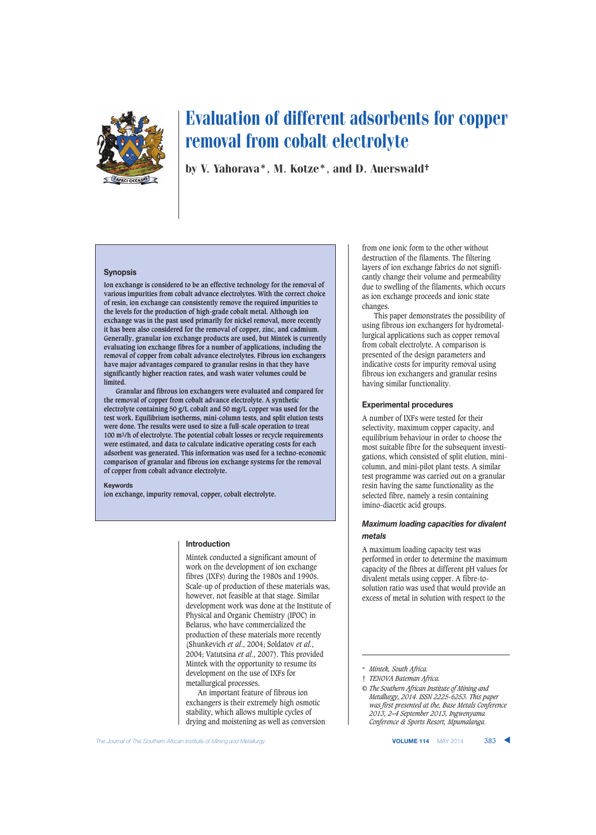

by V. Yahorava\*, M. Kotze\*, and D. Auerswald†

### **Synopsis**

**Ion exchange is considered to be an effective technology for the removal of various impurities from cobalt advance electrolytes. With the correct choice of resin, ion exchange can consistently remove the required impurities to the levels for the production of high-grade cobalt metal. Although ion exchange was in the past used primarily for nickel removal, more recently it has been also considered for the removal of copper, zinc, and cadmium. Generally, granular ion exchange products are used, but Mintek is currently evaluating ion exchange fibres for a number of applications, including the removal of copper from cobalt advance electrolytes. Fibrous ion exchangers have major advantages compared to granular resins in that they have significantly higher reaction rates, and wash water volumes could be limited.**

**Granular and fibrous ion exchangers were evaluated and compared for the removal of copper from cobalt advance electrolyte. A synthetic electrolyte containing 50 g/L cobalt and 50 mg/L copper was used for the test work. Equilibrium isotherms, mini-column tests, and split elution tests were done. The results were used to size a full-scale operation to treat 100 m3/h of electrolyte. The potential cobalt losses or recycle requirements were estimated, and data to calculate indicative operating costs for each adsorbent was generated. This information was used for a techno-economic comparison of granular and fibrous ion exchange systems for the removal of copper from cobalt advance electrolyte.**

#### **Keywords**

**ion exchange, impurity removal, copper, cobalt electrolyte.**

### **Introduction**

Mintek conducted a significant amount of work on the development of ion exchange fibres (IXFs) during the 1980s and 1990s. Scale-up of production of these materials was, however, not feasible at that stage. Similar development work was done at the Institute of Physical and Organic Chemistry (IPOC) in Belarus, who have commercialized the production of these materials more recently (Shunkevich *et al*., 2004; Soldatov *et al*., 2004; Vatutsina *et al*., 2007). This provided Mintek with the opportunity to resume its development on the use of IXFs for metallurgical processes.

An important feature of fibrous ion exchangers is their extremely high osmotic stability, which allows multiple cycles of drying and moistening as well as conversion from one ionic form to the other without destruction of the filaments. The filtering layers of ion exchange fabrics do not significantly change their volume and permeability due to swelling of the filaments, which occurs as ion exchange proceeds and ionic state changes.

This paper demonstrates the possibility of using fibrous ion exchangers for hydrometallurgical applications such as copper removal from cobalt electrolyte. A comparison is presented of the design parameters and indicative costs for impurity removal using fibrous ion exchangers and granular resins having similar functionality.

#### **Experimental procedures**

A number of IXFs were tested for their selectivity, maximum copper capacity, and equilibrium behaviour in order to choose the most suitable fibre for the subsequent investigations, which consisted of split elution, minicolumn, and mini-pilot plant tests. A similar test programme was carried out on a granular resin having the same functionality as the selected fibre, namely a resin containing imino-diacetic acid groups.

### *Maximum loading capacities for divalent metals*

A maximum loading capacity test was performed in order to determine the maximum capacity of the fibres at different pH values for divalent metals using copper. A fibre-tosolution ratio was used that would provide an excess of metal in solution with respect to the

*© The Southern African Institute of Mining and Metallurgy, 2014. ISSN 2225-6253. This paper was first presented at the, Base Metals Conference 2013, 2–4 September 2013, Ingwenyama Conference & Sports Resort, Mpumalanga.*

<sup>\*</sup> *Mintek, South Africa.*

<sup>†</sup> *TENOVA Bateman Africa.*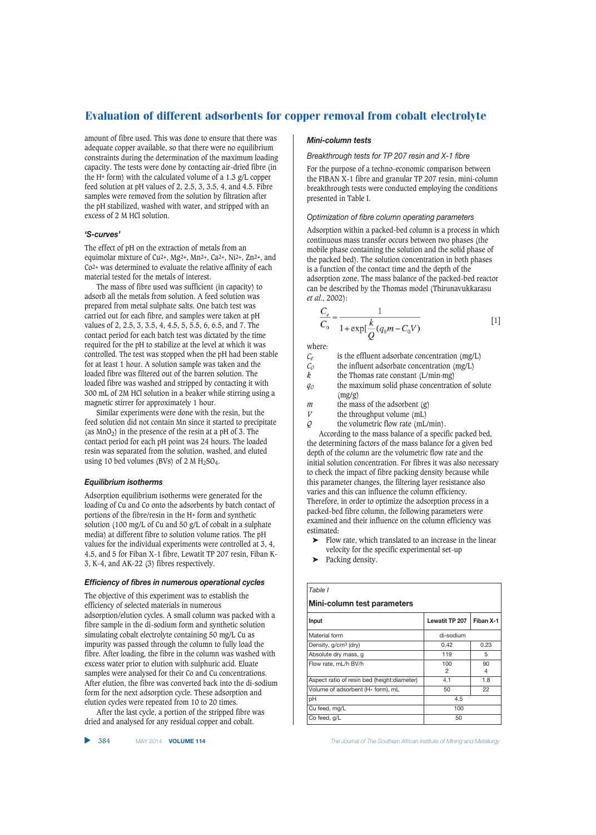amount of fibre used. This was done to ensure that there was adequate copper available, so that there were no equilibrium constraints during the determination of the maximum loading capacity. The tests were done by contacting air-dried fibre (in the H+ form) with the calculated volume of a 1.3 g/L copper feed solution at pH values of 2, 2.5, 3, 3.5, 4, and 4.5. Fibre samples were removed from the solution by filtration after the pH stabilized, washed with water, and stripped with an excess of 2 M HCl solution.

### *'S-curves'*

The effect of pH on the extraction of metals from an equimolar mixture of Cu2+, Mg2+, Mn2+, Ca2+, Ni2+, Zn2+, and Co2+ was determined to evaluate the relative affinity of each material tested for the metals of interest.

The mass of fibre used was sufficient (in capacity) to adsorb all the metals from solution. A feed solution was prepared from metal sulphate salts. One batch test was carried out for each fibre, and samples were taken at pH values of 2, 2.5, 3, 3.5, 4, 4.5, 5, 5.5, 6, 6.5, and 7. The contact period for each batch test was dictated by the time required for the pH to stabilize at the level at which it was controlled. The test was stopped when the pH had been stable for at least 1 hour. A solution sample was taken and the loaded fibre was filtered out of the barren solution. The loaded fibre was washed and stripped by contacting it with 300 mL of 2M HCl solution in a beaker while stirring using a magnetic stirrer for approximately 1 hour.

Similar experiments were done with the resin, but the feed solution did not contain Mn since it started to precipitate (as  $MnO<sub>2</sub>$ ) in the presence of the resin at a pH of 3. The contact period for each pH point was 24 hours. The loaded resin was separated from the solution, washed, and eluted using 10 bed volumes (BVs) of 2 M  $H<sub>2</sub>SO<sub>4</sub>$ .

### *Equilibrium isotherms*

Adsorption equilibrium isotherms were generated for the loading of Cu and Co onto the adsorbents by batch contact of portions of the fibre/resin in the H+ form and synthetic solution (100 mg/L of Cu and 50 g/L of cobalt in a sulphate media) at different fibre to solution volume ratios. The pH values for the individual experiments were controlled at 3, 4, 4.5, and 5 for Fiban X-1 fibre, Lewatit TP 207 resin, Fiban K-3, K-4, and AK-22 (3) fibres respectively.

### *Efficiency of fibres in numerous operational cycles*

The objective of this experiment was to establish the efficiency of selected materials in numerous adsorption/elution cycles. A small column was packed with a fibre sample in the di-sodium form and synthetic solution simulating cobalt electrolyte containing 50 mg/L Cu as impurity was passed through the column to fully load the fibre. After loading, the fibre in the column was washed with excess water prior to elution with sulphuric acid. Eluate samples were analysed for their Co and Cu concentrations. After elution, the fibre was converted back into the di-sodium form for the next adsorption cycle. These adsorption and elution cycles were repeated from 10 to 20 times.

After the last cycle, a portion of the stripped fibre was dried and analysed for any residual copper and cobalt.

### *Mini-column tests*

*Breakthrough tests for TP 207 resin and X-1 fibre*

For the purpose of a techno-economic comparison between the FIBAN X-1 fibre and granular TP 207 resin, mini-column breakthrough tests were conducted employing the conditions presented in Table I.

### *Optimization of fibre column operating parameters*

Adsorption within a packed-bed column is a process in which continuous mass transfer occurs between two phases (the mobile phase containing the solution and the solid phase of the packed bed). The solution concentration in both phases is a function of the contact time and the depth of the adsorption zone. The mass balance of the packed-bed reactor can be described by the Thomas model (Thirunavukkarasu *et al*., 2002):

$$
\frac{C_e}{C_0} = \frac{1}{1 + \exp[\frac{k}{Q}(q_0 m - C_0 V)]}
$$
 [1]

where:

*Ce* is the effluent adsorbate concentration (mg/L)

 $\begin{array}{lll} C_O & \text{the influent adsorbate concentration (mg/L)} \\ k & \text{the Thomas rate constant (L/min mg)} \end{array}$ 

the Thomas rate constant  $(L/min·mg)$ 

*q0* the maximum solid phase concentration of solute (mg/g)

*m* the mass of the adsorbent (g)

*V* the throughput volume (mL)<br>*O* the volumetric flow rate (mL)

the volumetric flow rate (mL/min).

According to the mass balance of a specific packed bed, the determining factors of the mass balance for a given bed depth of the column are the volumetric flow rate and the initial solution concentration. For fibres it was also necessary to check the impact of fibre packing density because while this parameter changes, the filtering layer resistance also varies and this can influence the column efficiency. Therefore, in order to optimize the adsorption process in a packed-bed fibre column, the following parameters were examined and their influence on the column efficiency was estimated:

- ➤ Flow rate, which translated to an increase in the linear velocity for the specific experimental set-up
- Packing density.

| Table I                                      |                |                      |  |  |  |  |  |
|----------------------------------------------|----------------|----------------------|--|--|--|--|--|
| Mini-column test parameters                  |                |                      |  |  |  |  |  |
| Input                                        | Lewatit TP 207 | Fiban X-1            |  |  |  |  |  |
| Material form                                | di-sodium      |                      |  |  |  |  |  |
| Density, g/cm <sup>3</sup> (dry)             | 0.42           | 0.23                 |  |  |  |  |  |
| Absolute dry mass, q                         | 119            | 5                    |  |  |  |  |  |
| Flow rate, mL/h BV/h                         | 100<br>2       | 90<br>$\overline{4}$ |  |  |  |  |  |
| Aspect ratio of resin bed (height: diameter) | 4.1            | 1.8                  |  |  |  |  |  |
| Volume of adsorbent (H+ form), mL            | 50             | 22                   |  |  |  |  |  |
| рH                                           | 4.5            |                      |  |  |  |  |  |
| Cu feed, mg/L                                | 100            |                      |  |  |  |  |  |
| Co feed, g/L                                 | 50             |                      |  |  |  |  |  |

384 MAY 2014 **VOLUME 114** *The Journal of The Southern African Institute of Mining and Metallurgy*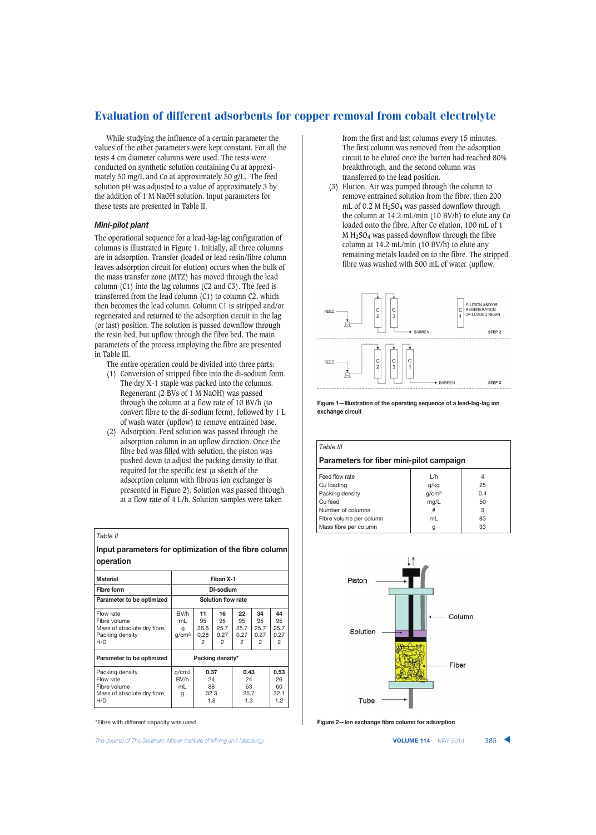While studying the influence of a certain parameter the values of the other parameters were kept constant. For all the tests 4 cm diameter columns were used. The tests were conducted on synthetic solution containing Cu at approximately 50 mg/L and Co at approximately 50 g/L. The feed solution pH was adjusted to a value of approximately 3 by the addition of 1 M NaOH solution. Input parameters for these tests are presented in Table II.

### *Mini-pilot plant*

The operational sequence for a lead-lag-lag configuration of columns is illustrated in Figure 1. Initially, all three columns are in adsorption. Transfer (loaded or lead resin/fibre column leaves adsorption circuit for elution) occurs when the bulk of the mass transfer zone (MTZ) has moved through the lead column (C1) into the lag columns (C2 and C3). The feed is transferred from the lead column (C1) to column C2, which then becomes the lead column. Column C1 is stripped and/or regenerated and returned to the adsorption circuit in the lag (or last) position. The solution is passed downflow through the resin bed, but upflow through the fibre bed. The main parameters of the process employing the fibre are presented in Table III.

- The entire operation could be divided into three parts:
- (1) Conversion of stripped fibre into the di-sodium form. The dry X-1 staple was packed into the columns. Regenerant (2 BVs of 1 M NaOH) was passed through the column at a flow rate of 10 BV/h (to convert fibre to the di-sodium form), followed by 1 L of wash water (upflow) to remove entrained base.
- (2) Adsorption. Feed solution was passed through the adsorption column in an upflow direction. Once the fibre bed was filled with solution, the piston was pushed down to adjust the packing density to that required for the specific test (a sketch of the adsorption column with fibrous ion exchanger is presented in Figure 2). Solution was passed through at a flow rate of 4 L/h. Solution samples were taken

| Table II                                                                           |                                      |                                 |                               |                                 |                               |                                 |
|------------------------------------------------------------------------------------|--------------------------------------|---------------------------------|-------------------------------|---------------------------------|-------------------------------|---------------------------------|
| Input parameters for optimization of the fibre column<br>operation                 |                                      |                                 |                               |                                 |                               |                                 |
| <b>Material</b>                                                                    |                                      |                                 | Fiban X-1                     |                                 |                               |                                 |
| <b>Fibre form</b>                                                                  |                                      |                                 | Di-sodium                     |                                 |                               |                                 |
| Parameter to be optimized                                                          | Solution flow rate                   |                                 |                               |                                 |                               |                                 |
| Flow rate<br>Fibre volume<br>Mass of absolute dry fibre,<br>Packing density<br>H/D | BV/h<br>ml<br>g<br>g/cm <sup>3</sup> | 11<br>95<br>26.6<br>0.28<br>2   | 16<br>95<br>25.7<br>0.27<br>2 | 22<br>95<br>25.7<br>0.27<br>2   | 34<br>95<br>25.7<br>0.27<br>2 | 44<br>95<br>25.7<br>0.27<br>2   |
| Parameter to be optimized                                                          |                                      |                                 | Packing density*              |                                 |                               |                                 |
| Packing density<br>Flow rate<br>Fibre volume<br>Mass of absolute dry fibre,<br>H/D | q/cm <sup>3</sup><br>BV/h<br>ml<br>g | 0.37<br>24<br>88<br>32.3<br>1.8 |                               | 0.43<br>24<br>63<br>25.7<br>1.3 |                               | 0.53<br>26<br>60<br>32.1<br>1.2 |

\*Fibre with different capacity was used

The Journal of The Southern African Institute of Mining and Metallurgy **VOLUME 114** MAY 2014 **385** 

from the first and last columns every 15 minutes. The first column was removed from the adsorption circuit to be eluted once the barren had reached 80% breakthrough, and the second column was transferred to the lead position.

Elution. Air was pumped through the column to remove entrained solution from the fibre, then 200 mL of 0.2 M  $H_2$ SO<sub>4</sub> was passed downflow through the column at 14.2 mL/min (10 BV/h) to elute any Co loaded onto the fibre. After Co elution, 100 mL of 1 M H2SO4 was passed downflow through the fibre column at 14.2 mL/min (10 BV/h) to elute any remaining metals loaded on to the fibre. The stripped fibre was washed with 500 mL of water (upflow,



**Figure 1—Illustration of the operating sequence of a lead-lag-lag ion exchange circuit**

| Table III                                |                   |     |  |  |  |
|------------------------------------------|-------------------|-----|--|--|--|
| Parameters for fiber mini-pilot campaign |                   |     |  |  |  |
| Feed flow rate                           | 1/h               | 4   |  |  |  |
| Cu loading                               | g/kg              | 25  |  |  |  |
| Packing density                          | g/cm <sup>3</sup> | 0.4 |  |  |  |
| Cu feed                                  | mq/L              | 50  |  |  |  |
| Number of columns                        | #                 | 3   |  |  |  |
| Fibre volume per column                  | mL                | 83  |  |  |  |
| Mass fibre per column                    | g                 | 33  |  |  |  |



**Figure 2—Ion exchange fibre column for adsorption**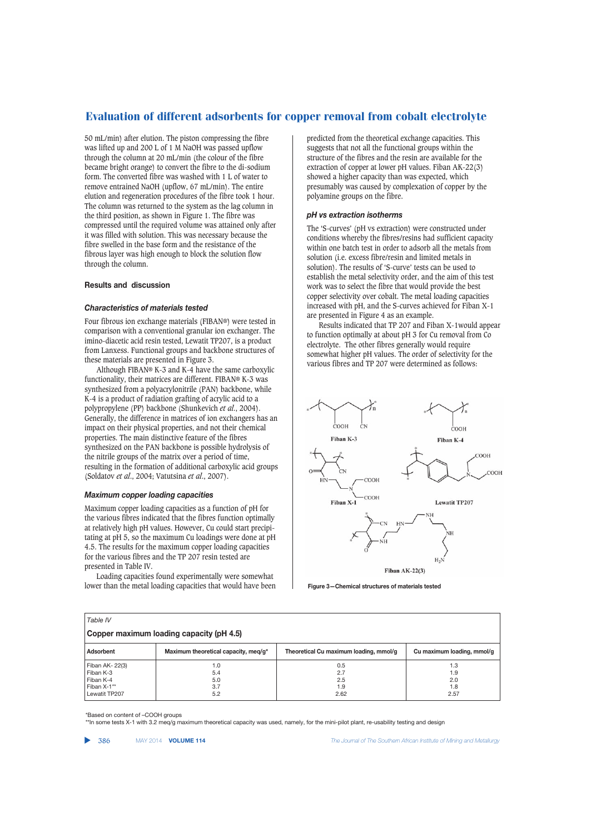50 mL/min) after elution. The piston compressing the fibre was lifted up and 200 L of 1 M NaOH was passed upflow through the column at 20 mL/min (the colour of the fibre became bright orange) to convert the fibre to the di-sodium form. The converted fibre was washed with 1 L of water to remove entrained NaOH (upflow, 67 mL/min). The entire elution and regeneration procedures of the fibre took 1 hour. The column was returned to the system as the lag column in the third position, as shown in Figure 1. The fibre was compressed until the required volume was attained only after it was filled with solution. This was necessary because the fibre swelled in the base form and the resistance of the fibrous layer was high enough to block the solution flow through the column.

### **Results and discussion**

### *Characteristics of materials tested*

Four fibrous ion exchange materials (FIBAN®) were tested in comparison with a conventional granular ion exchanger. The imino-diacetic acid resin tested, Lewatit TP207, is a product from Lanxess. Functional groups and backbone structures of these materials are presented in Figure 3.

Although FIBAN® K-3 and K-4 have the same carboxylic functionality, their matrices are different. FIBAN® K-3 was synthesized from a polyacrylonitrile (PAN) backbone, while K-4 is a product of radiation grafting of acrylic acid to a polypropylene (PP) backbone (Shunkevich *et al*., 2004). Generally, the difference in matrices of ion exchangers has an impact on their physical properties, and not their chemical properties. The main distinctive feature of the fibres synthesized on the PAN backbone is possible hydrolysis of the nitrile groups of the matrix over a period of time, resulting in the formation of additional carboxylic acid groups (Soldatov *et al*., 2004; Vatutsina *et al*., 2007).

### *Maximum copper loading capacities*

Maximum copper loading capacities as a function of pH for the various fibres indicated that the fibres function optimally at relatively high pH values. However, Cu could start precipitating at pH 5, so the maximum Cu loadings were done at pH 4.5. The results for the maximum copper loading capacities for the various fibres and the TP 207 resin tested are presented in Table IV.

Loading capacities found experimentally were somewhat lower than the metal loading capacities that would have been predicted from the theoretical exchange capacities. This suggests that not all the functional groups within the structure of the fibres and the resin are available for the extraction of copper at lower pH values. Fiban AK-22(3) showed a higher capacity than was expected, which presumably was caused by complexation of copper by the polyamine groups on the fibre.

### *pH vs extraction isotherms*

The 'S-curves' (pH vs extraction) were constructed under conditions whereby the fibres/resins had sufficient capacity within one batch test in order to adsorb all the metals from solution (i.e. excess fibre/resin and limited metals in solution). The results of 'S-curve' tests can be used to establish the metal selectivity order, and the aim of this test work was to select the fibre that would provide the best copper selectivity over cobalt. The metal loading capacities increased with pH, and the S-curves achieved for Fiban X-1 are presented in Figure 4 as an example.

Results indicated that TP 207 and Fiban X-1would appear to function optimally at about pH 3 for Cu removal from Co electrolyte. The other fibres generally would require somewhat higher pH values. The order of selectivity for the various fibres and TP 207 were determined as follows:



**Figure 3—Chemical structures of materials tested**

| Table IV                                 |                                      |                                        |                            |  |  |  |
|------------------------------------------|--------------------------------------|----------------------------------------|----------------------------|--|--|--|
| Copper maximum loading capacity (pH 4.5) |                                      |                                        |                            |  |  |  |
| Adsorbent                                | Maximum theoretical capacity, meg/g* | Theoretical Cu maximum loading, mmol/g | Cu maximum loading, mmol/g |  |  |  |
| Fiban AK- 22(3)                          | 1.0                                  | 0.5                                    | 1.3                        |  |  |  |
| Fiban K-3                                | 5.4                                  | 2.7                                    | 1.9                        |  |  |  |
| Fiban K-4                                | 5.0                                  | 2.5                                    | 2.0                        |  |  |  |
| Fiban X-1**                              | 3.7                                  | 1.9                                    | 1.8                        |  |  |  |
| Lewatit TP207                            | 5.2                                  | 2.62                                   | 2.57                       |  |  |  |

\*Based on content of –COOH groups

\*\*In some tests X-1 with 3.2 meq/g maximum theoretical capacity was used, namely, for the mini-pilot plant, re-usability testing and design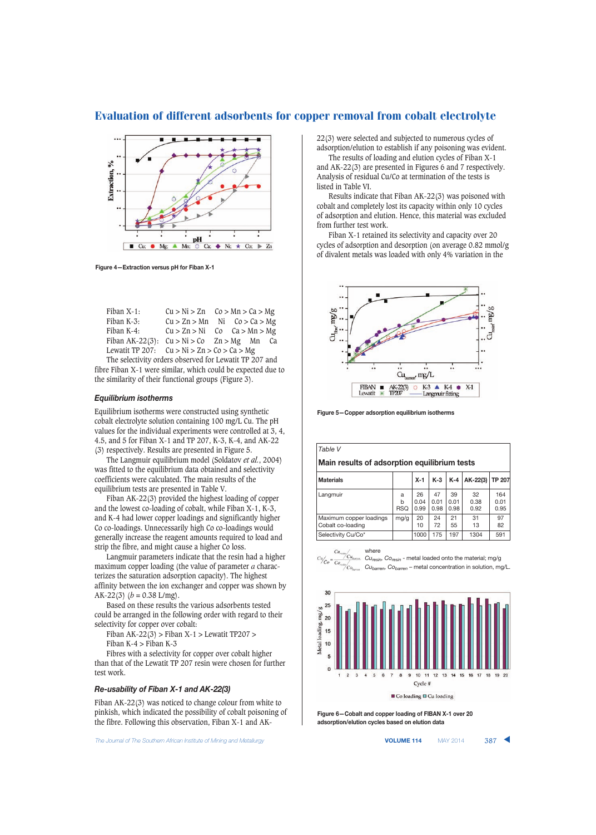

**Figure 4—Extraction versus pH for Fiban X-1**

| Fiban X-1:                                    | $Cu > Ni > Zn$ $Co > Mn > Ca > Mg$ |  |  |
|-----------------------------------------------|------------------------------------|--|--|
| Fiban K-3:                                    | $Cu > Zn > Mn$ Ni $Co > Ca > Mg$   |  |  |
| Fiban K-4:                                    | $Cu > Zn > Ni$ Co Ca > Mn > Mg     |  |  |
| Fiban AK-22(3): $Cu > Ni > Co$ Zn > Mg Mn Ca  |                                    |  |  |
| Lewatit TP 207: $Cu > Ni > Zn > Co > Ca > Mg$ |                                    |  |  |

The selectivity orders observed for Lewatit TP 207 and fibre Fiban X-1 were similar, which could be expected due to the similarity of their functional groups (Figure 3).

### *Equilibrium isotherms*

Equilibrium isotherms were constructed using synthetic cobalt electrolyte solution containing 100 mg/L Cu. The pH values for the individual experiments were controlled at 3, 4, 4.5, and 5 for Fiban X-1 and TP 207, K-3, K-4, and AK-22 (3) respectively. Results are presented in Figure 5.

The Langmuir equilibrium model (Soldatov *et al.*, 2004) was fitted to the equilibrium data obtained and selectivity coefficients were calculated. The main results of the equilibrium tests are presented in Table V.

Fiban AK-22(3) provided the highest loading of copper and the lowest co-loading of cobalt, while Fiban X-1, K-3, and K-4 had lower copper loadings and significantly higher Co co-loadings. Unnecessarily high Co co-loadings would generally increase the reagent amounts required to load and strip the fibre, and might cause a higher Co loss.

Langmuir parameters indicate that the resin had a higher maximum copper loading (the value of parameter *a* characterizes the saturation adsorption capacity). The highest affinity between the ion exchanger and copper was shown by AK-22(3) ( $b = 0.38$  L/mg).

Based on these results the various adsorbents tested could be arranged in the following order with regard to their selectivity for copper over cobalt:

Fiban AK-22(3) > Fiban X-1 > Lewatit TP207 > Fiban K-4  $>$  Fiban K-3

Fibres with a selectivity for copper over cobalt higher than that of the Lewatit TP 207 resin were chosen for further test work.

#### *Re-usability of Fiban X-1 and AK-22(3)*

Fiban AK-22(3) was noticed to change colour from white to pinkish, which indicated the possibility of cobalt poisoning of the fibre. Following this observation, Fiban X-1 and AK-

**The Journal of The Southern African Institute of Mining and Metallurgy <b>VOLUME 114 VOLUME 114 WAY 2014 387** 

22(3) were selected and subjected to numerous cycles of adsorption/elution to establish if any poisoning was evident.

The results of loading and elution cycles of Fiban X-1 and AK-22(3) are presented in Figures 6 and 7 respectively. Analysis of residual Cu/Co at termination of the tests is listed in Table VI.

Results indicate that Fiban AK-22(3) was poisoned with cobalt and completely lost its capacity within only 10 cycles of adsorption and elution. Hence, this material was excluded from further test work.

Fiban X-1 retained its selectivity and capacity over 20 cycles of adsorption and desorption (on average 0.82 mmol/g of divalent metals was loaded with only 4% variation in the



**Figure 5—Copper adsorption equilibrium isotherms**

| Table V                                      |                      |                    |                    |                    |                    |                     |
|----------------------------------------------|----------------------|--------------------|--------------------|--------------------|--------------------|---------------------|
| Main results of adsorption equilibrium tests |                      |                    |                    |                    |                    |                     |
| <b>Materials</b>                             |                      | $X-1$              | $K-3$              | $K-4$              | $AK-22(3)$         | <b>TP 207</b>       |
| Langmuir                                     | a<br>h<br><b>RSQ</b> | 26<br>0.04<br>0.99 | 47<br>0.01<br>0.98 | 39<br>0.01<br>0.98 | 32<br>0.38<br>0.92 | 164<br>0.01<br>0.95 |
| Maximum copper loadings<br>Cobalt co-loading | mg/g                 | 20<br>10           | 24<br>72           | 21<br>55           | 31<br>13           | 97<br>82            |
| Selectivity Cu/Co*                           |                      | 1000               | 175                | 197                | 1304               | 591                 |

where

*Curesin, Coresin* - metal loaded onto the material; mg/g *Cubarren, Cobarren* – metal concentration in solution, mg/L.



**Figure 6—Cobalt and copper loading of FIBAN X-1 over 20 adsorption/elution cycles based on elution data**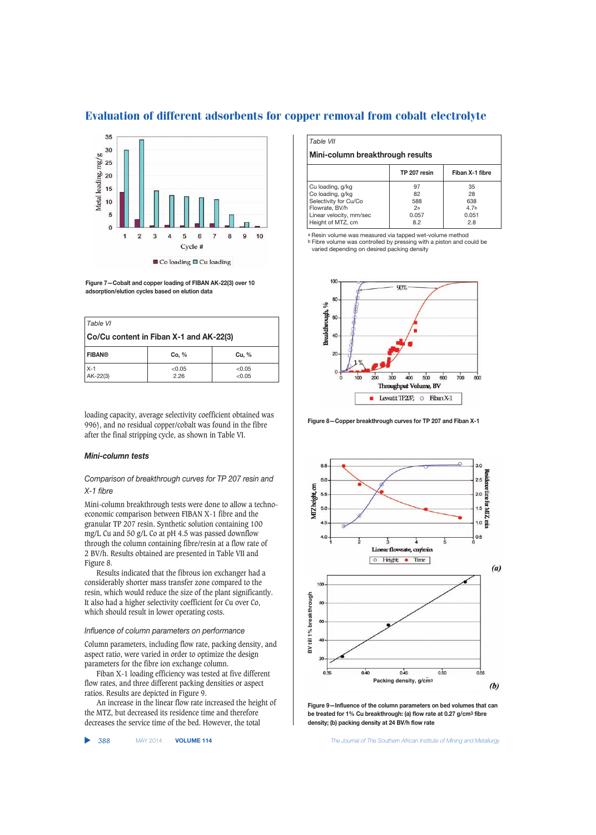

**Figure 7—Cobalt and copper loading of FIBAN AK-22(3) over 10 adsorption/elution cycles based on elution data**

| Table VI                                |                |                  |  |  |
|-----------------------------------------|----------------|------------------|--|--|
| Co/Cu content in Fiban X-1 and AK-22(3) |                |                  |  |  |
| <b>FIBAN®</b>                           | Co, %          | Cu, %            |  |  |
| $X-1$<br>$AK-22(3)$                     | < 0.05<br>2.26 | < 0.05<br>< 0.05 |  |  |

loading capacity, average selectivity coefficient obtained was 996), and no residual copper/cobalt was found in the fibre after the final stripping cycle, as shown in Table VI.

### *Mini-column tests*

### *Comparison of breakthrough curves for TP 207 resin and X-1 fibre*

Mini-column breakthrough tests were done to allow a technoeconomic comparison between FIBAN X-1 fibre and the granular TP 207 resin. Synthetic solution containing 100 mg/L Cu and 50 g/L Co at pH 4.5 was passed downflow through the column containing fibre/resin at a flow rate of 2 BV/h. Results obtained are presented in Table VII and Figure 8.

Results indicated that the fibrous ion exchanger had a considerably shorter mass transfer zone compared to the resin, which would reduce the size of the plant significantly. It also had a higher selectivity coefficient for Cu over Co, which should result in lower operating costs.

### *Influence of column parameters on performance*

Column parameters, including flow rate, packing density, and aspect ratio, were varied in order to optimize the design parameters for the fibre ion exchange column.

Fiban X-1 loading efficiency was tested at five different flow rates, and three different packing densities or aspect ratios. Results are depicted in Figure 9.

An increase in the linear flow rate increased the height of the MTZ, but decreased its residence time and therefore decreases the service time of the bed. However, the total

▲

#### *Table VII*

### **Mini-column breakthrough results**

|                         | TP 207 resin | Fiban X-1 fibre  |
|-------------------------|--------------|------------------|
| Cu loading, g/kg        | 97           | 35               |
| Co loading, g/kg        | 82           | 28               |
| Selectivity for Cu/Co   | 588          | 638              |
| Flowrate, BV/h          | 2a           | 4.7 <sub>b</sub> |
| Linear velocity, mm/sec | 0.057        | 0.051            |
| Height of MTZ, cm       | 8.2          | 2.8              |

a Resin volume was measured via tapped wet-volume method b Fibre volume was controlled by pressing with a piston and could be varied depending on desired packing density



**Figure 8—Copper breakthrough curves for TP 207 and Fiban X-1**



**Figure 9—Influence of the column parameters on bed volumes that can be treated for 1% Cu breakthrough: (a) flow rate at 0.27 g/cm3 fibre density; (b) packing density at 24 BV/h flow rate**

388 MAY 2014 **VOLUME 114** *The Journal of The Southern African Institute of Mining and Metallurgy*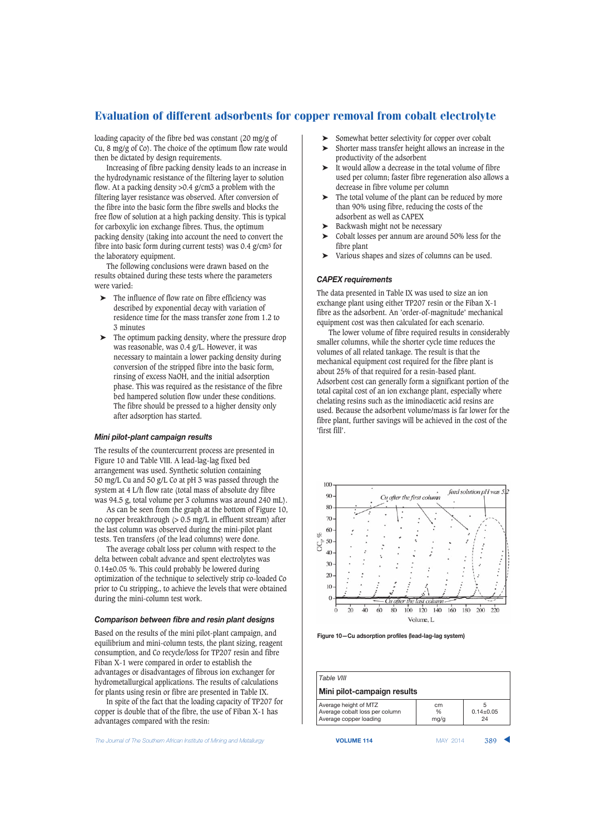loading capacity of the fibre bed was constant (20 mg/g of Cu, 8 mg/g of Co). The choice of the optimum flow rate would then be dictated by design requirements.

Increasing of fibre packing density leads to an increase in the hydrodynamic resistance of the filtering layer to solution flow. At a packing density >0.4 g/cm3 a problem with the filtering layer resistance was observed. After conversion of the fibre into the basic form the fibre swells and blocks the free flow of solution at a high packing density. This is typical for carboxylic ion exchange fibres. Thus, the optimum packing density (taking into account the need to convert the fibre into basic form during current tests) was 0.4 g/cm3 for the laboratory equipment.

The following conclusions were drawn based on the results obtained during these tests where the parameters were varied:

- The influence of flow rate on fibre efficiency was described by exponential decay with variation of residence time for the mass transfer zone from 1.2 to 3 minutes
- ➤ The optimum packing density, where the pressure drop was reasonable, was 0.4 g/L. However, it was necessary to maintain a lower packing density during conversion of the stripped fibre into the basic form, rinsing of excess NaOH, and the initial adsorption phase. This was required as the resistance of the fibre bed hampered solution flow under these conditions. The fibre should be pressed to a higher density only after adsorption has started.

### *Mini pilot-plant campaign results*

The results of the countercurrent process are presented in Figure 10 and Table VIII. A lead-lag-lag fixed bed arrangement was used. Synthetic solution containing 50 mg/L Cu and 50 g/L Co at pH 3 was passed through the system at 4 L/h flow rate (total mass of absolute dry fibre was 94.5 g, total volume per 3 columns was around 240 mL).

As can be seen from the graph at the bottom of Figure 10, no copper breakthrough (> 0.5 mg/L in effluent stream) after the last column was observed during the mini-pilot plant tests. Ten transfers (of the lead columns) were done.

The average cobalt loss per column with respect to the delta between cobalt advance and spent electrolytes was 0.14±0.05 %. This could probably be lowered during optimization of the technique to selectively strip co-loaded Co prior to Cu stripping,, to achieve the levels that were obtained during the mini-column test work.

### *Comparison between fibre and resin plant designs*

Based on the results of the mini pilot-plant campaign, and equilibrium and mini-column tests, the plant sizing, reagent consumption, and Co recycle/loss for TP207 resin and fibre Fiban X-1 were compared in order to establish the advantages or disadvantages of fibrous ion exchanger for hydrometallurgical applications. The results of calculations for plants using resin or fibre are presented in Table IX.

In spite of the fact that the loading capacity of TP207 for copper is double that of the fibre, the use of Fiban X-1 has advantages compared with the resin:

The Journal of The Southern African Institute of Mining and Metallurgy **VOLUME 114 VOLUME 114** MAY 2014 **389** 

- Somewhat better selectivity for copper over cobalt
- ➤ Shorter mass transfer height allows an increase in the productivity of the adsorbent
- ➤ It would allow a decrease in the total volume of fibre used per column; faster fibre regeneration also allows a decrease in fibre volume per column
- ➤ The total volume of the plant can be reduced by more than 90% using fibre, reducing the costs of the adsorbent as well as CAPEX
- Backwash might not be necessary
- ➤ Cobalt losses per annum are around 50% less for the fibre plant
- Various shapes and sizes of columns can be used.

### *CAPEX requirements*

The data presented in Table IX was used to size an ion exchange plant using either TP207 resin or the Fiban X-1 fibre as the adsorbent. An 'order-of-magnitude' mechanical equipment cost was then calculated for each scenario.

The lower volume of fibre required results in considerably smaller columns, while the shorter cycle time reduces the volumes of all related tankage. The result is that the mechanical equipment cost required for the fibre plant is about 25% of that required for a resin-based plant. Adsorbent cost can generally form a significant portion of the total capital cost of an ion exchange plant, especially where chelating resins such as the iminodiacetic acid resins are used. Because the adsorbent volume/mass is far lower for the fibre plant, further savings will be achieved in the cost of the 'first fill'.



**Figure 10—Cu adsorption profiles (lead-lag-lag system)**

*Table VIII* **Mini pilot-campaign results** Average height of MTZ cm 5<br>Average cobalt loss per column 96 0.14+0.05 Average cobalt loss per column Average copper loading and mg/g and 24